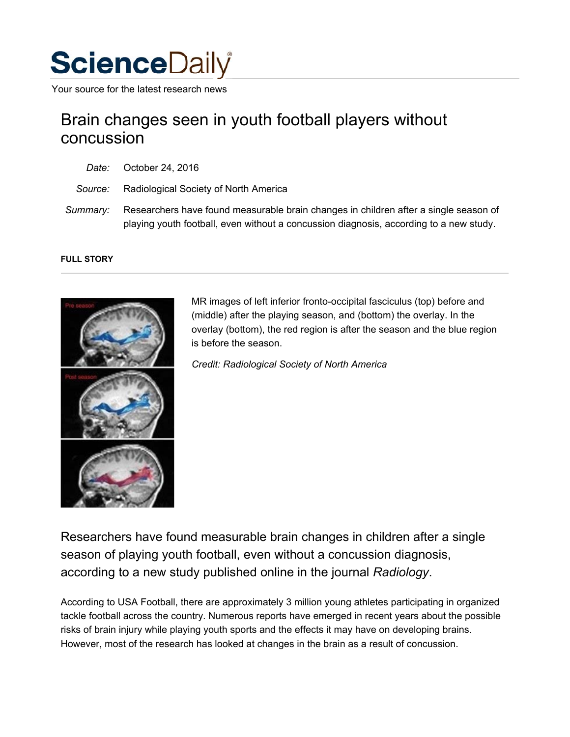

Your source for the latest research news

## Brain changes seen in youth football players without concussion

- *Date:* October 24, 2016
- *Source:* Radiological Society of North America
- *Summary:* Researchers have found measurable brain changes in children after a single season of playing youth football, even without a concussion diagnosis, according to a new study.

## **FULL STORY**



MR images of left inferior fronto-occipital fasciculus (top) before and (middle) after the playing season, and (bottom) the overlay. In the overlay (bottom), the red region is after the season and the blue region is before the season.

*Credit: Radiological Society of North America*

Researchers have found measurable brain changes in children after a single season of playing youth football, even without a concussion diagnosis, according to a new study published online in the journal *Radiology*.

According to USA Football, there are approximately 3 million young athletes participating in organized tackle football across the country. Numerous reports have emerged in recent years about the possible risks of brain injury while playing youth sports and the effects it may have on developing brains. However, most of the research has looked at changes in the brain as a result of concussion.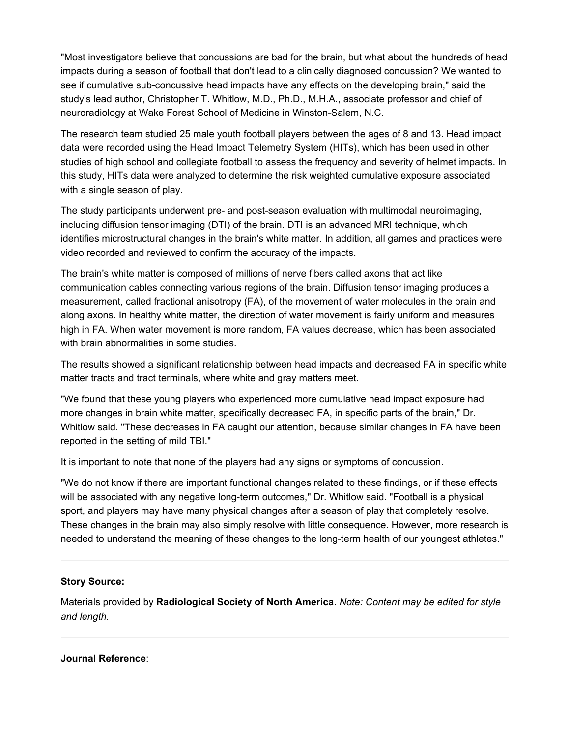"Most investigators believe that concussions are bad for the brain, but what about the hundreds of head impacts during a season of football that don't lead to a clinically diagnosed concussion? We wanted to see if cumulative sub-concussive head impacts have any effects on the developing brain," said the study's lead author, Christopher T. Whitlow, M.D., Ph.D., M.H.A., associate professor and chief of neuroradiology at Wake Forest School of Medicine in Winston-Salem, N.C.

The research team studied 25 male youth football players between the ages of 8 and 13. Head impact data were recorded using the Head Impact Telemetry System (HITs), which has been used in other studies of high school and collegiate football to assess the frequency and severity of helmet impacts. In this study, HITs data were analyzed to determine the risk weighted cumulative exposure associated with a single season of play.

The study participants underwent pre- and post-season evaluation with multimodal neuroimaging, including diffusion tensor imaging (DTI) of the brain. DTI is an advanced MRI technique, which identifies microstructural changes in the brain's white matter. In addition, all games and practices were video recorded and reviewed to confirm the accuracy of the impacts.

The brain's white matter is composed of millions of nerve fibers called axons that act like communication cables connecting various regions of the brain. Diffusion tensor imaging produces a measurement, called fractional anisotropy (FA), of the movement of water molecules in the brain and along axons. In healthy white matter, the direction of water movement is fairly uniform and measures high in FA. When water movement is more random, FA values decrease, which has been associated with brain abnormalities in some studies.

The results showed a significant relationship between head impacts and decreased FA in specific white matter tracts and tract terminals, where white and gray matters meet.

"We found that these young players who experienced more cumulative head impact exposure had more changes in brain white matter, specifically decreased FA, in specific parts of the brain," Dr. Whitlow said. "These decreases in FA caught our attention, because similar changes in FA have been reported in the setting of mild TBI."

It is important to note that none of the players had any signs or symptoms of concussion.

"We do not know if there are important functional changes related to these findings, or if these effects will be associated with any negative long-term outcomes," Dr. Whitlow said. "Football is a physical sport, and players may have many physical changes after a season of play that completely resolve. These changes in the brain may also simply resolve with little consequence. However, more research is needed to understand the meaning of these changes to the long-term health of our youngest athletes."

## **Story Source:**

Materials provided by **Radiological Society of North America**. *Note: Content may be edited for style and length.*

## **Journal Reference**: